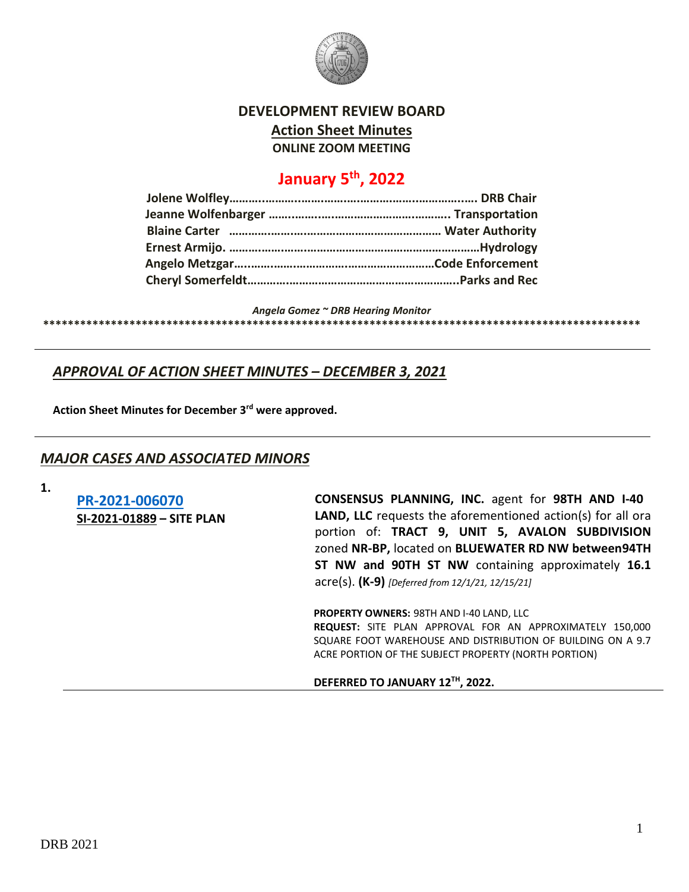

#### **DEVELOPMENT REVIEW BOARD**

**Action Sheet Minutes**

**ONLINE ZOOM MEETING**

# **January 5th, 2022**

*Angela Gomez ~ DRB Hearing Monitor*

**\*\*\*\*\*\*\*\*\*\*\*\*\*\*\*\*\*\*\*\*\*\*\*\*\*\*\*\*\*\*\*\*\*\*\*\*\*\*\*\*\*\*\*\*\*\*\*\*\*\*\*\*\*\*\*\*\*\*\*\*\*\*\*\*\*\*\*\*\*\*\*\*\*\*\*\*\*\*\*\*\*\*\*\*\*\*\*\*\*\*\*\*\*\*\*\*\***

## *APPROVAL OF ACTION SHEET MINUTES – DECEMBER 3, 2021*

**Action Sheet Minutes for December 3rd were approved.**

### *MAJOR CASES AND ASSOCIATED MINORS*

**1.**

**[PR-2021-006070](http://data.cabq.gov/government/planning/DRB/PR-2021-006070/DRB%20Submittals/) SI-2021-01889 – SITE PLAN** **CONSENSUS PLANNING, INC.** agent for **98TH AND I-40 LAND, LLC** requests the aforementioned action(s) for all ora portion of: **TRACT 9, UNIT 5, AVALON SUBDIVISION** zoned **NR-BP,** located on **BLUEWATER RD NW between94TH ST NW and 90TH ST NW** containing approximately **16.1** acre(s). **(K-9)** *[Deferred from 12/1/21, 12/15/21]*

**PROPERTY OWNERS:** 98TH AND I-40 LAND, LLC **REQUEST:** SITE PLAN APPROVAL FOR AN APPROXIMATELY 150,000 SQUARE FOOT WAREHOUSE AND DISTRIBUTION OF BUILDING ON A 9.7 ACRE PORTION OF THE SUBJECT PROPERTY (NORTH PORTION)

#### **DEFERRED TO JANUARY 12TH, 2022.**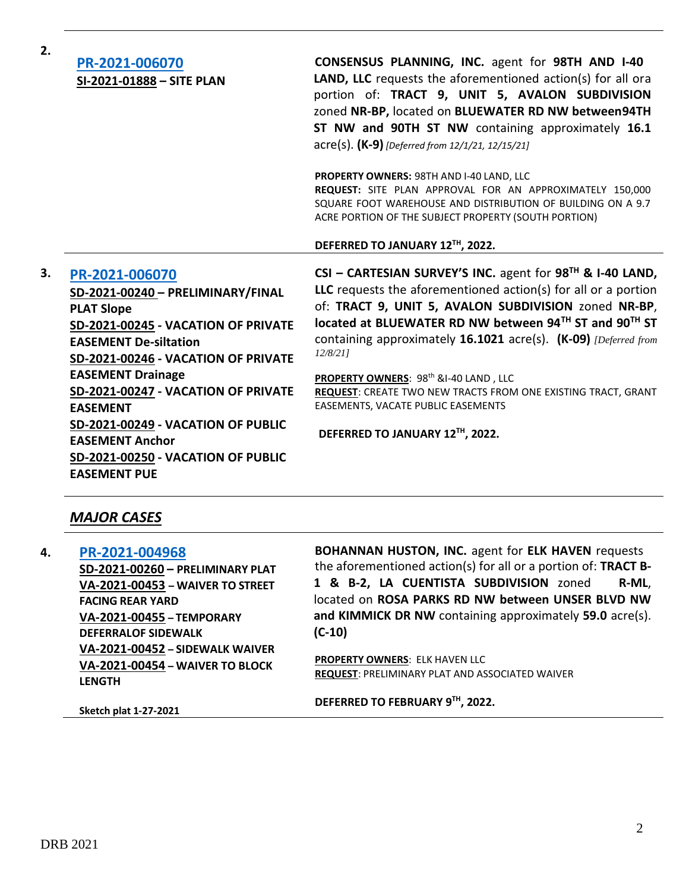| 2. | PR-2021-006070<br>SI-2021-01888 - SITE PLAN                                                                                                                                                                                                                                                                                                                                                               | <b>CONSENSUS PLANNING, INC. agent for 98TH AND I-40</b><br>LAND, LLC requests the aforementioned action(s) for all ora<br>portion of: TRACT 9, UNIT 5, AVALON SUBDIVISION<br>zoned NR-BP, located on BLUEWATER RD NW between94TH<br>ST NW and 90TH ST NW containing approximately 16.1<br>acre(s). (K-9) [Deferred from 12/1/21, 12/15/21]                                                                                                                                                                                                       |
|----|-----------------------------------------------------------------------------------------------------------------------------------------------------------------------------------------------------------------------------------------------------------------------------------------------------------------------------------------------------------------------------------------------------------|--------------------------------------------------------------------------------------------------------------------------------------------------------------------------------------------------------------------------------------------------------------------------------------------------------------------------------------------------------------------------------------------------------------------------------------------------------------------------------------------------------------------------------------------------|
|    |                                                                                                                                                                                                                                                                                                                                                                                                           | <b>PROPERTY OWNERS: 98TH AND I-40 LAND, LLC</b><br>REQUEST: SITE PLAN APPROVAL FOR AN APPROXIMATELY 150,000<br>SQUARE FOOT WAREHOUSE AND DISTRIBUTION OF BUILDING ON A 9.7<br>ACRE PORTION OF THE SUBJECT PROPERTY (SOUTH PORTION)                                                                                                                                                                                                                                                                                                               |
|    |                                                                                                                                                                                                                                                                                                                                                                                                           | DEFERRED TO JANUARY 12TH, 2022.                                                                                                                                                                                                                                                                                                                                                                                                                                                                                                                  |
| 3. | PR-2021-006070<br>SD-2021-00240 - PRELIMINARY/FINAL<br><b>PLAT Slope</b><br>SD-2021-00245 - VACATION OF PRIVATE<br><b>EASEMENT De-siltation</b><br>SD-2021-00246 - VACATION OF PRIVATE<br><b>EASEMENT Drainage</b><br>SD-2021-00247 - VACATION OF PRIVATE<br><b>EASEMENT</b><br>SD-2021-00249 - VACATION OF PUBLIC<br><b>EASEMENT Anchor</b><br>SD-2021-00250 - VACATION OF PUBLIC<br><b>EASEMENT PUE</b> | CSI - CARTESIAN SURVEY'S INC. agent for $98^{TH}$ & I-40 LAND,<br>LLC requests the aforementioned $action(s)$ for all or a portion<br>of: TRACT 9, UNIT 5, AVALON SUBDIVISION zoned NR-BP,<br>located at BLUEWATER RD NW between 94TH ST and 90TH ST<br>containing approximately 16.1021 acre(s). (K-09) <i>[Deferred from</i><br>12/8/211<br>PROPERTY OWNERS: 98 <sup>th</sup> &I-40 LAND, LLC<br><b>REQUEST: CREATE TWO NEW TRACTS FROM ONE EXISTING TRACT, GRANT</b><br>EASEMENTS, VACATE PUBLIC EASEMENTS<br>DEFERRED TO JANUARY 12TH, 2022. |

# *MAJOR CASES*

| 4. | PR-2021-004968                                                                      | <b>BOHANNAN HUSTON, INC. agent for ELK HAVEN requests</b>                                       |
|----|-------------------------------------------------------------------------------------|-------------------------------------------------------------------------------------------------|
|    | SD-2021-00260 - PRELIMINARY PLAT                                                    | the aforementioned action(s) for all or a portion of: TRACT B-                                  |
|    | VA-2021-00453 - WAIVER TO STREET                                                    | 1 & B-2, LA CUENTISTA SUBDIVISION zoned<br>R-ML,                                                |
|    | <b>FACING REAR YARD</b>                                                             | located on ROSA PARKS RD NW between UNSER BLVD NW                                               |
|    | VA-2021-00455 - TEMPORARY                                                           | and KIMMICK DR NW containing approximately 59.0 acre(s).                                        |
|    | <b>DEFERRALOF SIDEWALK</b>                                                          | $(C-10)$                                                                                        |
|    | VA-2021-00452 - SIDEWALK WAIVER<br>VA-2021-00454 - WAIVER TO BLOCK<br><b>LENGTH</b> | <b>PROPERTY OWNERS: ELK HAVEN LLC</b><br><b>REQUEST: PRELIMINARY PLAT AND ASSOCIATED WAIVER</b> |
|    |                                                                                     | DEFERRED TO FEBRUARY 9TH, 2022.                                                                 |

**Sketch plat 1-27-2021**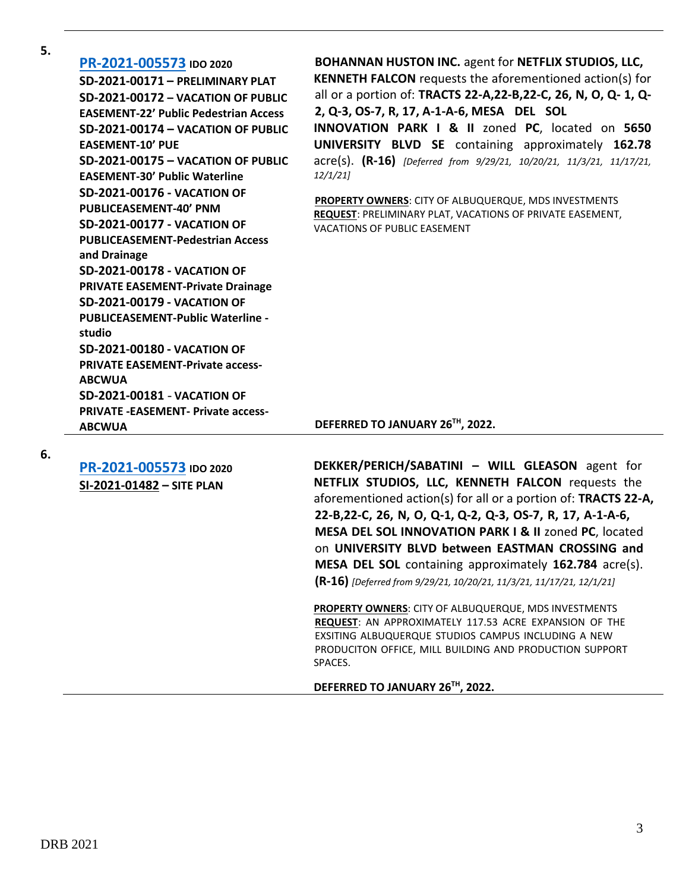**5.**

| PR-2021-005573 IDO 2020<br>SD-2021-00171 - PRELIMINARY PLAT<br>SD-2021-00172 - VACATION OF PUBLIC<br><b>EASEMENT-22' Public Pedestrian Access</b><br>SD-2021-00174 - VACATION OF PUBLIC<br><b>EASEMENT-10' PUE</b><br>SD-2021-00175 - VACATION OF PUBLIC<br><b>EASEMENT-30' Public Waterline</b><br><b>SD-2021-00176 - VACATION OF</b><br><b>PUBLICEASEMENT-40' PNM</b><br><b>SD-2021-00177 - VACATION OF</b><br><b>PUBLICEASEMENT-Pedestrian Access</b><br>and Drainage<br><b>SD-2021-00178 - VACATION OF</b><br><b>PRIVATE EASEMENT-Private Drainage</b><br><b>SD-2021-00179 - VACATION OF</b><br><b>PUBLICEASEMENT-Public Waterline -</b><br>studio<br><b>SD-2021-00180 - VACATION OF</b><br><b>PRIVATE EASEMENT-Private access-</b><br><b>ABCWUA</b><br><b>SD-2021-00181 - VACATION OF</b><br><b>PRIVATE -EASEMENT- Private access-</b> | <b>BOHANNAN HUSTON INC. agent for NETFLIX STUDIOS, LLC,</b><br><b>KENNETH FALCON</b> requests the aforementioned action(s) for<br>all or a portion of: TRACTS 22-A,22-B,22-C, 26, N, O, Q- 1, Q-<br>2, Q-3, OS-7, R, 17, A-1-A-6, MESA DEL SOL<br>INNOVATION PARK I & II zoned PC, located on 5650<br>UNIVERSITY BLVD SE containing approximately 162.78<br>acre(s). (R-16) [Deferred from 9/29/21, 10/20/21, 11/3/21, 11/17/21,<br>12/1/21<br>PROPERTY OWNERS: CITY OF ALBUQUERQUE, MDS INVESTMENTS<br>REQUEST: PRELIMINARY PLAT, VACATIONS OF PRIVATE EASEMENT,<br>VACATIONS OF PUBLIC EASEMENT |
|---------------------------------------------------------------------------------------------------------------------------------------------------------------------------------------------------------------------------------------------------------------------------------------------------------------------------------------------------------------------------------------------------------------------------------------------------------------------------------------------------------------------------------------------------------------------------------------------------------------------------------------------------------------------------------------------------------------------------------------------------------------------------------------------------------------------------------------------|---------------------------------------------------------------------------------------------------------------------------------------------------------------------------------------------------------------------------------------------------------------------------------------------------------------------------------------------------------------------------------------------------------------------------------------------------------------------------------------------------------------------------------------------------------------------------------------------------|
| <b>ABCWUA</b>                                                                                                                                                                                                                                                                                                                                                                                                                                                                                                                                                                                                                                                                                                                                                                                                                               | DEFERRED TO JANUARY 26TH, 2022.                                                                                                                                                                                                                                                                                                                                                                                                                                                                                                                                                                   |
| PR-2021-005573 IDO 2020<br>SI-2021-01482 - SITE PLAN                                                                                                                                                                                                                                                                                                                                                                                                                                                                                                                                                                                                                                                                                                                                                                                        | DEKKER/PERICH/SABATINI - WILL GLEASON agent for<br>NETFLIX STUDIOS, LLC, KENNETH FALCON requests the<br>aforementioned action(s) for all or a portion of: TRACTS 22-A,<br>22-B,22-C, 26, N, O, Q-1, Q-2, Q-3, OS-7, R, 17, A-1-A-6,<br>MESA DEL SOL INNOVATION PARK I & II zoned PC, located<br>on UNIVERSITY BLVD between EASTMAN CROSSING and<br>MESA DEL SOL containing approximately 162.784 acre(s).                                                                                                                                                                                         |

**PROPERTY OWNERS**: CITY OF ALBUQUERQUE, MDS INVESTMENTS **REQUEST**: AN APPROXIMATELY 117.53 ACRE EXPANSION OF THE EXSITING ALBUQUERQUE STUDIOS CAMPUS INCLUDING A NEW PRODUCITON OFFICE, MILL BUILDING AND PRODUCTION SUPPORT SPACES.

**(R-16)** *[Deferred from 9/29/21, 10/20/21, 11/3/21, 11/17/21, 12/1/21]*

**DEFERRED TO JANUARY 26TH, 2022.**

**6.**

DRB 2021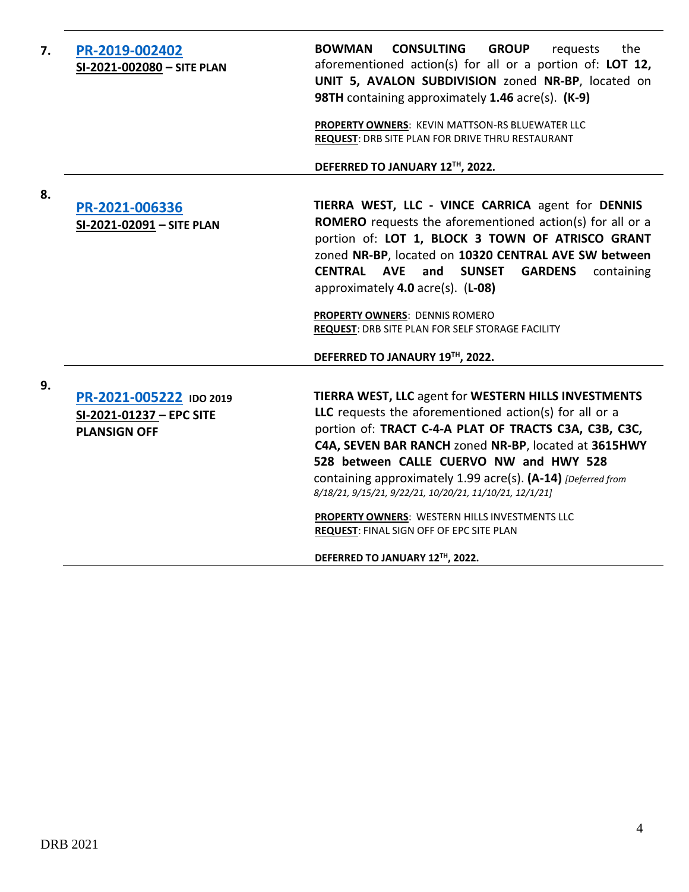| 7. | PR-2019-002402<br>SI-2021-002080 - SITE PLAN                               | <b>CONSULTING</b><br><b>BOWMAN</b><br><b>GROUP</b><br>the<br>requests<br>aforementioned action(s) for all or a portion of: LOT 12,<br>UNIT 5, AVALON SUBDIVISION zoned NR-BP, located on<br>98TH containing approximately 1.46 acre(s). (K-9)                                                                                                                                                                                                                                                                                          |
|----|----------------------------------------------------------------------------|----------------------------------------------------------------------------------------------------------------------------------------------------------------------------------------------------------------------------------------------------------------------------------------------------------------------------------------------------------------------------------------------------------------------------------------------------------------------------------------------------------------------------------------|
|    |                                                                            | PROPERTY OWNERS: KEVIN MATTSON-RS BLUEWATER LLC<br>REQUEST: DRB SITE PLAN FOR DRIVE THRU RESTAURANT                                                                                                                                                                                                                                                                                                                                                                                                                                    |
|    |                                                                            | DEFERRED TO JANUARY 12TH, 2022.                                                                                                                                                                                                                                                                                                                                                                                                                                                                                                        |
| 8. | PR-2021-006336<br>SI-2021-02091 - SITE PLAN                                | TIERRA WEST, LLC - VINCE CARRICA agent for DENNIS<br><b>ROMERO</b> requests the aforementioned action(s) for all or a<br>portion of: LOT 1, BLOCK 3 TOWN OF ATRISCO GRANT<br>zoned NR-BP, located on 10320 CENTRAL AVE SW between<br>CENTRAL AVE and<br><b>SUNSET GARDENS</b><br>containing<br>approximately 4.0 acre(s). (L-08)                                                                                                                                                                                                       |
|    |                                                                            | <b>PROPERTY OWNERS: DENNIS ROMERO</b><br><b>REQUEST: DRB SITE PLAN FOR SELF STORAGE FACILITY</b>                                                                                                                                                                                                                                                                                                                                                                                                                                       |
|    |                                                                            | DEFERRED TO JANAURY 19TH, 2022.                                                                                                                                                                                                                                                                                                                                                                                                                                                                                                        |
| 9. | PR-2021-005222 IDO 2019<br>SI-2021-01237 - EPC SITE<br><b>PLANSIGN OFF</b> | TIERRA WEST, LLC agent for WESTERN HILLS INVESTMENTS<br>LLC requests the aforementioned action(s) for all or a<br>portion of: TRACT C-4-A PLAT OF TRACTS C3A, C3B, C3C,<br>C4A, SEVEN BAR RANCH zoned NR-BP, located at 3615HWY<br>528 between CALLE CUERVO NW and HWY 528<br>containing approximately 1.99 acre(s). (A-14) [Deferred from<br>8/18/21, 9/15/21, 9/22/21, 10/20/21, 11/10/21, 12/1/21]<br>PROPERTY OWNERS: WESTERN HILLS INVESTMENTS LLC<br>REQUEST: FINAL SIGN OFF OF EPC SITE PLAN<br>DEFERRED TO JANUARY 12TH, 2022. |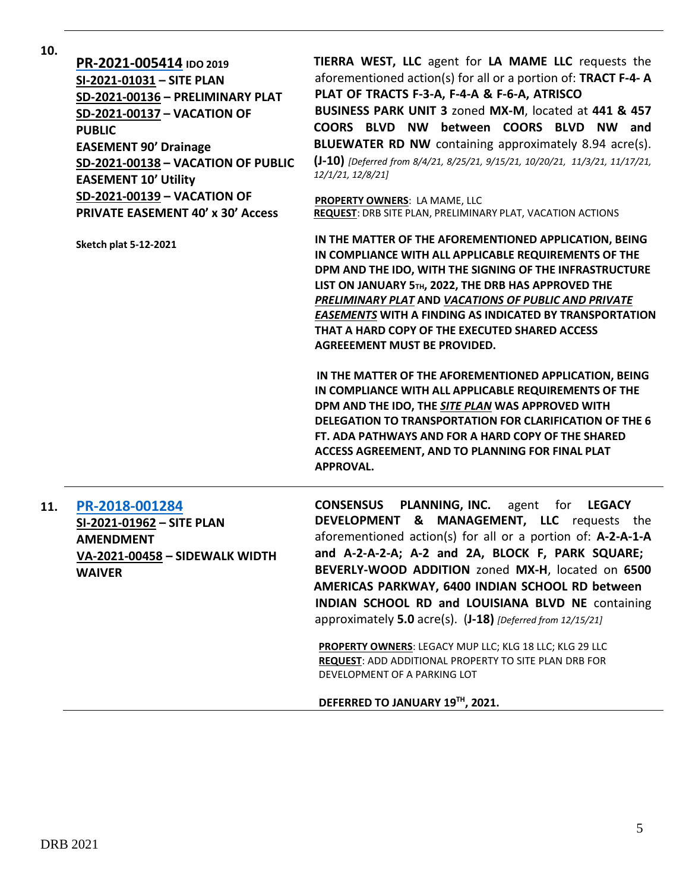| 10. | PR-2021-005414 IDO 2019<br>SI-2021-01031 - SITE PLAN<br>SD-2021-00136 - PRELIMINARY PLAT<br>SD-2021-00137 - VACATION OF<br><b>PUBLIC</b><br><b>EASEMENT 90' Drainage</b><br>SD-2021-00138 - VACATION OF PUBLIC<br><b>EASEMENT 10' Utility</b><br>SD-2021-00139 - VACATION OF | TIERRA WEST, LLC agent for LA MAME LLC requests the<br>aforementioned action(s) for all or a portion of: TRACT F-4-A<br>PLAT OF TRACTS F-3-A, F-4-A & F-6-A, ATRISCO<br>BUSINESS PARK UNIT 3 zoned MX-M, located at 441 & 457<br>COORS BLVD NW between COORS BLVD NW and<br>BLUEWATER RD NW containing approximately 8.94 acre(s).<br>(J-10) [Deferred from 8/4/21, 8/25/21, 9/15/21, 10/20/21, 11/3/21, 11/17/21,<br>12/1/21, 12/8/21]<br>PROPERTY OWNERS: LA MAME, LLC |
|-----|------------------------------------------------------------------------------------------------------------------------------------------------------------------------------------------------------------------------------------------------------------------------------|--------------------------------------------------------------------------------------------------------------------------------------------------------------------------------------------------------------------------------------------------------------------------------------------------------------------------------------------------------------------------------------------------------------------------------------------------------------------------|
|     | <b>PRIVATE EASEMENT 40' x 30' Access</b>                                                                                                                                                                                                                                     | <b>REQUEST: DRB SITE PLAN, PRELIMINARY PLAT, VACATION ACTIONS</b>                                                                                                                                                                                                                                                                                                                                                                                                        |
|     | <b>Sketch plat 5-12-2021</b>                                                                                                                                                                                                                                                 | IN THE MATTER OF THE AFOREMENTIONED APPLICATION, BEING<br>IN COMPLIANCE WITH ALL APPLICABLE REQUIREMENTS OF THE<br>DPM AND THE IDO, WITH THE SIGNING OF THE INFRASTRUCTURE<br>LIST ON JANUARY 5TH, 2022, THE DRB HAS APPROVED THE<br>PRELIMINARY PLAT AND VACATIONS OF PUBLIC AND PRIVATE<br><b>EASEMENTS WITH A FINDING AS INDICATED BY TRANSPORTATION</b><br>THAT A HARD COPY OF THE EXECUTED SHARED ACCESS<br><b>AGREEEMENT MUST BE PROVIDED.</b>                     |
|     |                                                                                                                                                                                                                                                                              | IN THE MATTER OF THE AFOREMENTIONED APPLICATION, BEING<br>IN COMPLIANCE WITH ALL APPLICABLE REQUIREMENTS OF THE<br>DPM AND THE IDO, THE SITE PLAN WAS APPROVED WITH<br><b>DELEGATION TO TRANSPORTATION FOR CLARIFICATION OF THE 6</b><br>FT. ADA PATHWAYS AND FOR A HARD COPY OF THE SHARED<br>ACCESS AGREEMENT, AND TO PLANNING FOR FINAL PLAT<br><b>APPROVAL.</b>                                                                                                      |
| 11. | PR-2018-001284<br>SI-2021-01962 - SITE PLAN<br><b>AMENDMENT</b><br>VA-2021-00458 - SIDEWALK WIDTH<br><b>WAIVER</b>                                                                                                                                                           | <b>CONSENSUS</b><br>PLANNING, INC.<br>agent for<br><b>LEGACY</b><br>DEVELOPMENT & MANAGEMENT, LLC requests the<br>aforementioned action(s) for all or a portion of: A-2-A-1-A<br>and A-2-A-2-A; A-2 and 2A, BLOCK F, PARK SQUARE;<br>BEVERLY-WOOD ADDITION zoned MX-H, located on 6500<br>AMERICAS PARKWAY, 6400 INDIAN SCHOOL RD between<br>INDIAN SCHOOL RD and LOUISIANA BLVD NE containing                                                                           |

approximately **5.0** acre(s). (**J-18)** *[Deferred from 12/15/21]*

**PROPERTY OWNERS**: LEGACY MUP LLC; KLG 18 LLC; KLG 29 LLC **REQUEST**: ADD ADDITIONAL PROPERTY TO SITE PLAN DRB FOR DEVELOPMENT OF A PARKING LOT

## **DEFERRED TO JANUARY 19TH, 2021.**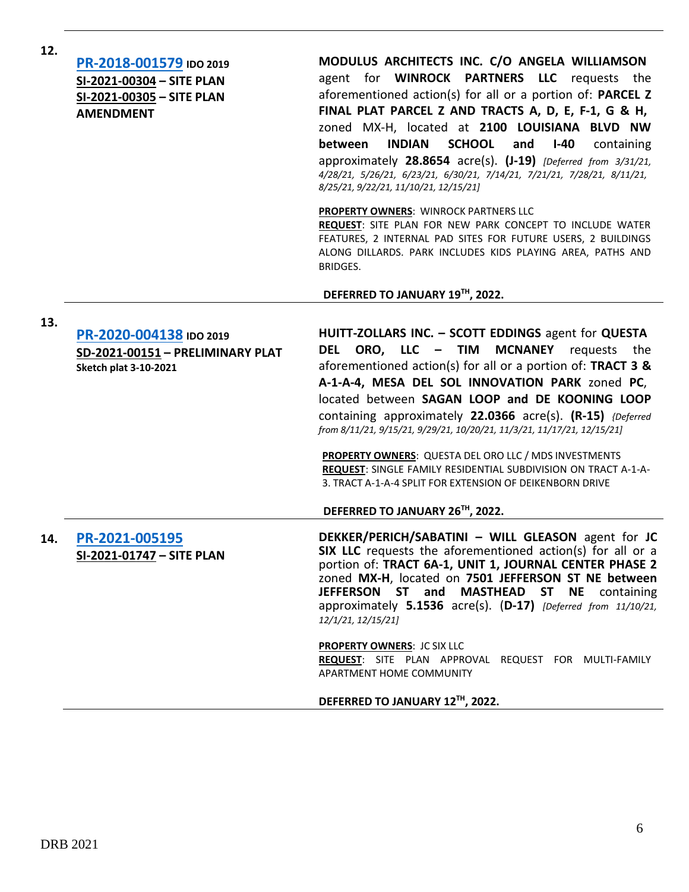| 12. | PR-2018-001579 IDO 2019<br>SI-2021-00304 - SITE PLAN<br>SI-2021-00305 - SITE PLAN<br><b>AMENDMENT</b> | MODULUS ARCHITECTS INC. C/O ANGELA WILLIAMSON<br>agent for WINROCK PARTNERS LLC requests the<br>aforementioned action(s) for all or a portion of: PARCEL Z<br>FINAL PLAT PARCEL Z AND TRACTS A, D, E, F-1, G & H,<br>zoned MX-H, located at 2100 LOUISIANA BLVD NW<br><b>INDIAN</b><br><b>SCHOOL</b><br>between<br>and<br>$I-40$<br>containing<br>approximately 28.8654 acre(s). (J-19) [Deferred from 3/31/21,<br>4/28/21, 5/26/21, 6/23/21, 6/30/21, 7/14/21, 7/21/21, 7/28/21, 8/11/21,<br>8/25/21, 9/22/21, 11/10/21, 12/15/21]<br><b>PROPERTY OWNERS: WINROCK PARTNERS LLC</b>                                                                               |
|-----|-------------------------------------------------------------------------------------------------------|-------------------------------------------------------------------------------------------------------------------------------------------------------------------------------------------------------------------------------------------------------------------------------------------------------------------------------------------------------------------------------------------------------------------------------------------------------------------------------------------------------------------------------------------------------------------------------------------------------------------------------------------------------------------|
|     |                                                                                                       | <b>REQUEST:</b> SITE PLAN FOR NEW PARK CONCEPT TO INCLUDE WATER<br>FEATURES, 2 INTERNAL PAD SITES FOR FUTURE USERS, 2 BUILDINGS<br>ALONG DILLARDS. PARK INCLUDES KIDS PLAYING AREA, PATHS AND<br>BRIDGES.<br>DEFERRED TO JANUARY 19TH, 2022.                                                                                                                                                                                                                                                                                                                                                                                                                      |
|     |                                                                                                       |                                                                                                                                                                                                                                                                                                                                                                                                                                                                                                                                                                                                                                                                   |
| 13. | PR-2020-004138 IDO 2019<br>SD-2021-00151 - PRELIMINARY PLAT<br><b>Sketch plat 3-10-2021</b>           | HUITT-ZOLLARS INC. - SCOTT EDDINGS agent for QUESTA<br>ORO, LLC – TIM<br><b>MCNANEY</b><br>DEL<br>requests<br>the<br>aforementioned action(s) for all or a portion of: TRACT 3 $\&$<br>A-1-A-4, MESA DEL SOL INNOVATION PARK zoned PC,<br>located between SAGAN LOOP and DE KOONING LOOP<br>containing approximately 22.0366 acre(s). (R-15) {Deferred<br>from 8/11/21, 9/15/21, 9/29/21, 10/20/21, 11/3/21, 11/17/21, 12/15/21]<br><b>PROPERTY OWNERS:</b> QUESTA DEL ORO LLC / MDS INVESTMENTS<br>REQUEST: SINGLE FAMILY RESIDENTIAL SUBDIVISION ON TRACT A-1-A-<br>3. TRACT A-1-A-4 SPLIT FOR EXTENSION OF DEIKENBORN DRIVE<br>DEFERRED TO JANUARY 26TH, 2022. |
| 14. | PR-2021-005195<br>SI-2021-01747 - SITE PLAN                                                           | DEKKER/PERICH/SABATINI - WILL GLEASON agent for JC<br>SIX LLC requests the aforementioned action(s) for all or a<br>portion of: TRACT 6A-1, UNIT 1, JOURNAL CENTER PHASE 2<br>zoned MX-H, located on 7501 JEFFERSON ST NE between<br>JEFFERSON ST and MASTHEAD<br>ST NE<br>containing<br>approximately $5.1536$ acre(s). $(D-17)$ [Deferred from 11/10/21,<br>12/1/21, 12/15/21]<br><b>PROPERTY OWNERS: JC SIX LLC</b><br>REQUEST: SITE PLAN APPROVAL REQUEST FOR MULTI-FAMILY<br>APARTMENT HOME COMMUNITY                                                                                                                                                        |
|     |                                                                                                       |                                                                                                                                                                                                                                                                                                                                                                                                                                                                                                                                                                                                                                                                   |

## **DEFERRED TO JANUARY 12TH, 2022.**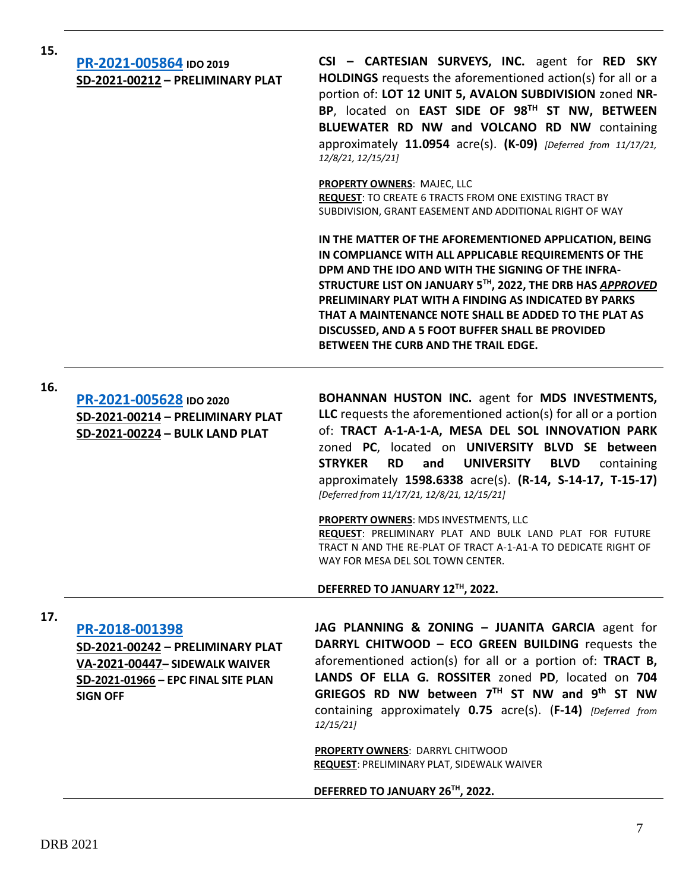| 15. | PR-2021-005864 IDO 2019<br>SD-2021-00212 - PRELIMINARY PLAT                                                                                    | CSI - CARTESIAN SURVEYS, INC. agent for RED SKY<br><b>HOLDINGS</b> requests the aforementioned action(s) for all or a<br>portion of: LOT 12 UNIT 5, AVALON SUBDIVISION zoned NR-<br>BP, located on EAST SIDE OF 98TH ST NW, BETWEEN<br>BLUEWATER RD NW and VOLCANO RD NW containing<br>approximately $11.0954$ acre(s). (K-09) [Deferred from $11/17/21$ ,<br>12/8/21, 12/15/21]<br><b>PROPERTY OWNERS: MAJEC, LLC</b><br><b>REQUEST: TO CREATE 6 TRACTS FROM ONE EXISTING TRACT BY</b><br>SUBDIVISION, GRANT EASEMENT AND ADDITIONAL RIGHT OF WAY<br>IN THE MATTER OF THE AFOREMENTIONED APPLICATION, BEING<br>IN COMPLIANCE WITH ALL APPLICABLE REQUIREMENTS OF THE<br>DPM AND THE IDO AND WITH THE SIGNING OF THE INFRA-<br>STRUCTURE LIST ON JANUARY 5TH, 2022, THE DRB HAS APPROVED<br>PRELIMINARY PLAT WITH A FINDING AS INDICATED BY PARKS<br>THAT A MAINTENANCE NOTE SHALL BE ADDED TO THE PLAT AS<br>DISCUSSED, AND A 5 FOOT BUFFER SHALL BE PROVIDED<br>BETWEEN THE CURB AND THE TRAIL EDGE. |
|-----|------------------------------------------------------------------------------------------------------------------------------------------------|--------------------------------------------------------------------------------------------------------------------------------------------------------------------------------------------------------------------------------------------------------------------------------------------------------------------------------------------------------------------------------------------------------------------------------------------------------------------------------------------------------------------------------------------------------------------------------------------------------------------------------------------------------------------------------------------------------------------------------------------------------------------------------------------------------------------------------------------------------------------------------------------------------------------------------------------------------------------------------------------------------|
| 16. | PR-2021-005628 IDO 2020<br>SD-2021-00214 - PRELIMINARY PLAT<br>SD-2021-00224 - BULK LAND PLAT                                                  | BOHANNAN HUSTON INC. agent for MDS INVESTMENTS,<br>LLC requests the aforementioned $action(s)$ for all or a portion<br>of: TRACT A-1-A-1-A, MESA DEL SOL INNOVATION PARK<br>zoned PC, located on UNIVERSITY BLVD SE between<br><b>STRYKER</b><br><b>RD</b><br><b>UNIVERSITY</b><br>and<br><b>BLVD</b><br>containing<br>approximately 1598.6338 acre(s). (R-14, S-14-17, T-15-17)<br>[Deferred from 11/17/21, 12/8/21, 12/15/21]<br>PROPERTY OWNERS: MDS INVESTMENTS, LLC<br>REQUEST: PRELIMINARY PLAT AND BULK LAND PLAT FOR FUTURE<br>TRACT N AND THE RE-PLAT OF TRACT A-1-A1-A TO DEDICATE RIGHT OF<br>WAY FOR MESA DEL SOL TOWN CENTER.<br>DEFERRED TO JANUARY 12TH, 2022.                                                                                                                                                                                                                                                                                                                          |
| 17. | PR-2018-001398<br>SD-2021-00242 - PRELIMINARY PLAT<br>VA-2021-00447- SIDEWALK WAIVER<br>SD-2021-01966 - EPC FINAL SITE PLAN<br><b>SIGN OFF</b> | JAG PLANNING & ZONING - JUANITA GARCIA agent for<br>DARRYL CHITWOOD - ECO GREEN BUILDING requests the<br>aforementioned action(s) for all or a portion of: <b>TRACT B</b> ,<br>LANDS OF ELLA G. ROSSITER zoned PD, located on 704<br>GRIEGOS RD NW between 7TH ST NW and 9th ST NW<br>containing approximately 0.75 acre(s). (F-14) [Deferred from<br>12/15/21<br><b>PROPERTY OWNERS: DARRYL CHITWOOD</b><br><b>REQUEST: PRELIMINARY PLAT, SIDEWALK WAIVER</b><br>DEFERRED TO JANUARY 26TH, 2022.                                                                                                                                                                                                                                                                                                                                                                                                                                                                                                      |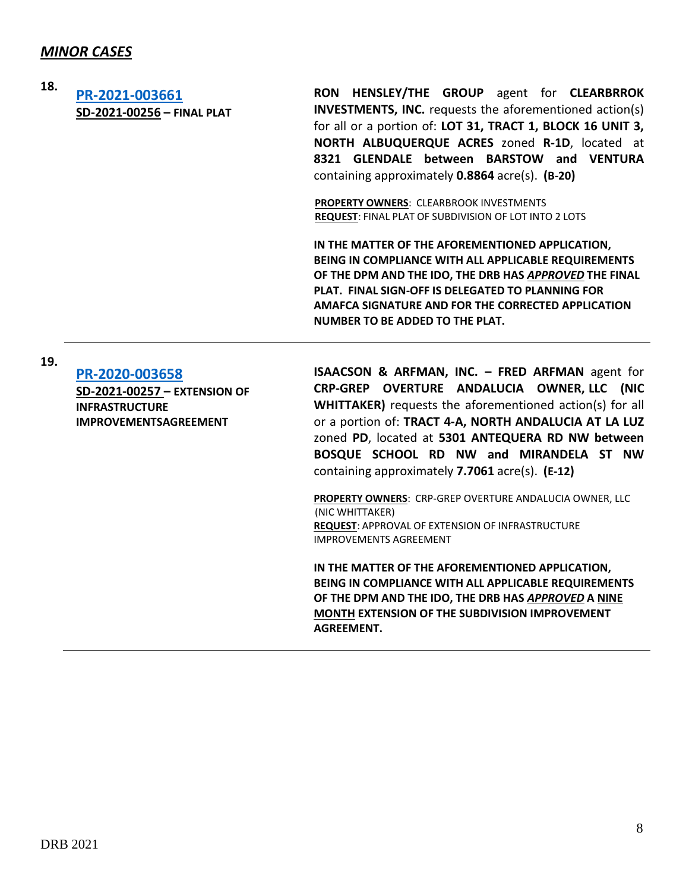## *MINOR CASES*

**18. [PR-2021-003661](http://data.cabq.gov/government/planning/DRB/PR-2020-003661/DRB%20Submittals/PR-2020-003661-Jan_5%202022%20(FP)/Original%20Submittal/PR-2020-003661%20Final%20Plat%20Submittal.pdf) SD-2021-00256 – FINAL PLAT**

**RON HENSLEY/THE GROUP** agent for **CLEARBRROK INVESTMENTS, INC.** requests the aforementioned action(s) for all or a portion of: **LOT 31, TRACT 1, BLOCK 16 UNIT 3, NORTH ALBUQUERQUE ACRES** zoned **R-1D**, located at **8321 GLENDALE between BARSTOW and VENTURA** containing approximately **0.8864** acre(s). **(B-20)**

**PROPERTY OWNERS**: CLEARBROOK INVESTMENTS **REQUEST**: FINAL PLAT OF SUBDIVISION OF LOT INTO 2 LOTS

**IN THE MATTER OF THE AFOREMENTIONED APPLICATION, BEING IN COMPLIANCE WITH ALL APPLICABLE REQUIREMENTS OF THE DPM AND THE IDO, THE DRB HAS** *APPROVED* **THE FINAL PLAT. FINAL SIGN-OFF IS DELEGATED TO PLANNING FOR AMAFCA SIGNATURE AND FOR THE CORRECTED APPLICATION NUMBER TO BE ADDED TO THE PLAT.**

**19.**

**[PR-2020-003658](http://data.cabq.gov/government/planning/DRB/PR-2020-003658/DRB%20Submittals/PR-2020-003658_Jan_5_2021%20(Ext.%20IIA)/Original%20Application/PR-2020-003658%20DRB%20APPLICATION%20-%20EXTENSION%20OF%20IIA.pdf) SD-2021-00257 – EXTENSION OF INFRASTRUCTURE IMPROVEMENTSAGREEMENT**

**ISAACSON & ARFMAN, INC. – FRED ARFMAN** agent for **CRP-GREP OVERTURE ANDALUCIA OWNER, LLC (NIC WHITTAKER)** requests the aforementioned action(s) for all or a portion of: **TRACT 4-A, NORTH ANDALUCIA AT LA LUZ** zoned **PD**, located at **5301 ANTEQUERA RD NW between BOSQUE SCHOOL RD NW and MIRANDELA ST NW** containing approximately **7.7061** acre(s). **(E-12)**

**PROPERTY OWNERS**: CRP-GREP OVERTURE ANDALUCIA OWNER, LLC (NIC WHITTAKER) **REQUEST**: APPROVAL OF EXTENSION OF INFRASTRUCTURE IMPROVEMENTS AGREEMENT

**IN THE MATTER OF THE AFOREMENTIONED APPLICATION, BEING IN COMPLIANCE WITH ALL APPLICABLE REQUIREMENTS OF THE DPM AND THE IDO, THE DRB HAS** *APPROVED* **A NINE MONTH EXTENSION OF THE SUBDIVISION IMPROVEMENT AGREEMENT.**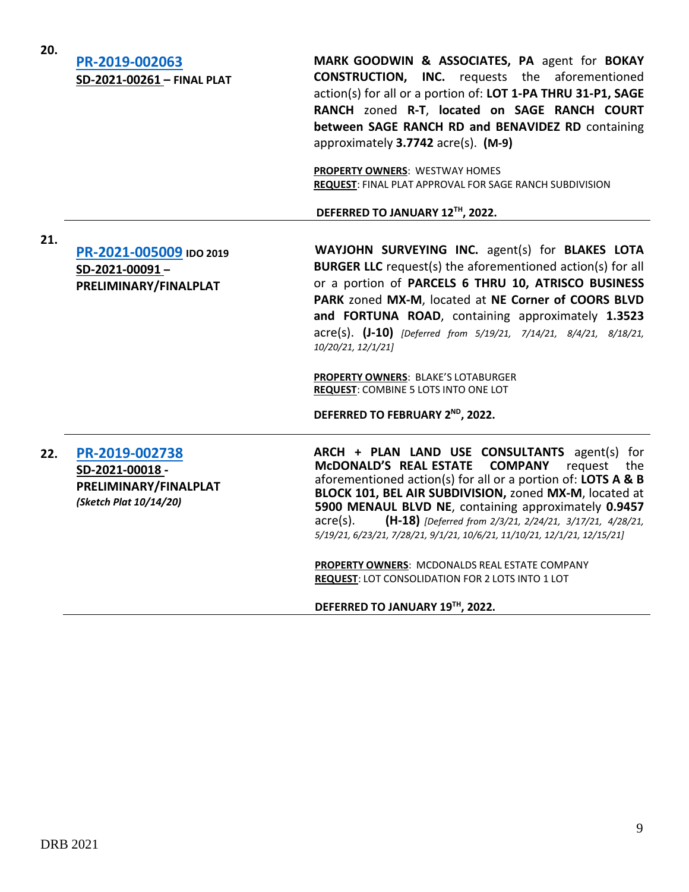| 20. | PR-2019-002063<br>SD-2021-00261 - FINAL PLAT                                        | MARK GOODWIN & ASSOCIATES, PA agent for BOKAY<br><b>CONSTRUCTION, INC.</b> requests the aforementioned<br>action(s) for all or a portion of: LOT 1-PA THRU 31-P1, SAGE<br>RANCH zoned R-T, located on SAGE RANCH COURT<br>between SAGE RANCH RD and BENAVIDEZ RD containing<br>approximately 3.7742 acre(s). (M-9)<br><b>PROPERTY OWNERS: WESTWAY HOMES</b><br>REQUEST: FINAL PLAT APPROVAL FOR SAGE RANCH SUBDIVISION<br>DEFERRED TO JANUARY 12TH, 2022.                                                                                                                        |
|-----|-------------------------------------------------------------------------------------|----------------------------------------------------------------------------------------------------------------------------------------------------------------------------------------------------------------------------------------------------------------------------------------------------------------------------------------------------------------------------------------------------------------------------------------------------------------------------------------------------------------------------------------------------------------------------------|
| 21. | PR-2021-005009 IDO 2019<br>SD-2021-00091-<br>PRELIMINARY/FINALPLAT                  | WAYJOHN SURVEYING INC. agent(s) for BLAKES LOTA<br><b>BURGER LLC</b> request(s) the aforementioned action(s) for all<br>or a portion of PARCELS 6 THRU 10, ATRISCO BUSINESS<br>PARK zoned MX-M, located at NE Corner of COORS BLVD<br>and FORTUNA ROAD, containing approximately 1.3523<br>acre(s). (J-10) [Deferred from 5/19/21, 7/14/21, 8/4/21, 8/18/21,<br>10/20/21, 12/1/21]<br>PROPERTY OWNERS: BLAKE'S LOTABURGER<br><b>REQUEST: COMBINE 5 LOTS INTO ONE LOT</b><br>DEFERRED TO FEBRUARY 2ND, 2022.                                                                      |
| 22. | PR-2019-002738<br>SD-2021-00018-<br>PRELIMINARY/FINALPLAT<br>(Sketch Plat 10/14/20) | ARCH + PLAN LAND USE CONSULTANTS agent(s) for<br>McDONALD'S REAL ESTATE COMPANY<br>request the<br>aforementioned action(s) for all or a portion of: LOTS A & B<br>BLOCK 101, BEL AIR SUBDIVISION, zoned MX-M, located at<br>5900 MENAUL BLVD NE, containing approximately 0.9457<br>(H-18) [Deferred from 2/3/21, 2/24/21, 3/17/21, 4/28/21,<br>$acre(s)$ .<br>5/19/21, 6/23/21, 7/28/21, 9/1/21, 10/6/21, 11/10/21, 12/1/21, 12/15/21]<br>PROPERTY OWNERS: MCDONALDS REAL ESTATE COMPANY<br>REQUEST: LOT CONSOLIDATION FOR 2 LOTS INTO 1 LOT<br>DEFERRED TO JANUARY 19TH, 2022. |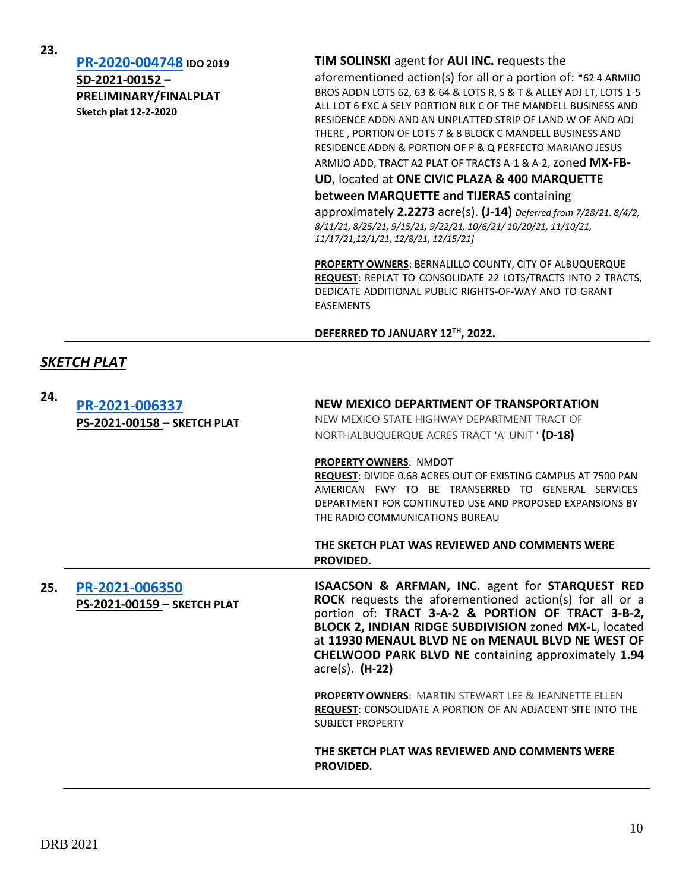**[PR-2020-004748](http://data.cabq.gov/government/planning/DRB/PR-2020-004748/DRB%20Submittals/) IDO 2019 SD-2021-00152 – PRELIMINARY/FINALPLAT Sketch plat 12-2-2020**

#### **TIM SOLINSKI** agent for **AUI INC.** requests the

aforementioned action(s) for all or a portion of: \*62 4 ARMIJO BROS ADDN LOTS 62, 63 & 64 & LOTS R, S & T & ALLEY ADJ LT, LOTS 1-5 ALL LOT 6 EXC A SELY PORTION BLK C OF THE MANDELL BUSINESS AND RESIDENCE ADDN AND AN UNPLATTED STRIP OF LAND W OF AND ADJ THERE , PORTION OF LOTS 7 & 8 BLOCK C MANDELL BUSINESS AND RESIDENCE ADDN & PORTION OF P & Q PERFECTO MARIANO JESUS

ARMIJO ADD, TRACT A2 PLAT OF TRACTS A-1 & A-2, zoned **MX-FB-**

**UD**, located at **ONE CIVIC PLAZA & 400 MARQUETTE**

**between MARQUETTE and TIJERAS** containing

approximately **2.2273** acre(s). **(J-14)** *Deferred from 7/28/21, 8/4/2, 8/11/21, 8/25/21, 9/15/21, 9/22/21, 10/6/21/ 10/20/21, 11/10/21, 11/17/21,12/1/21, 12/8/21, 12/15/21]*

**PROPERTY OWNERS**: BERNALILLO COUNTY, CITY OF ALBUQUERQUE **REQUEST**: REPLAT TO CONSOLIDATE 22 LOTS/TRACTS INTO 2 TRACTS, DEDICATE ADDITIONAL PUBLIC RIGHTS-OF-WAY AND TO GRANT EASEMENTS

#### **DEFERRED TO JANUARY 12TH, 2022.**

#### *SKETCH PLAT*

| 24. | PR-2021-006337<br>PS-2021-00158 - SKETCH PLAT | NEW MEXICO DEPARTMENT OF TRANSPORTATION<br>NEW MEXICO STATE HIGHWAY DEPARTMENT TRACT OF<br>NORTHALBUQUERQUE ACRES TRACT 'A' UNIT ' (D-18)                                                                                                          |
|-----|-----------------------------------------------|----------------------------------------------------------------------------------------------------------------------------------------------------------------------------------------------------------------------------------------------------|
|     |                                               | <b>PROPERTY OWNERS: NMDOT</b><br>REQUEST: DIVIDE 0.68 ACRES OUT OF EXISTING CAMPUS AT 7500 PAN<br>AMERICAN FWY TO BE TRANSERRED TO GENERAL SERVICES<br>DEPARTMENT FOR CONTINUTED USE AND PROPOSED EXPANSIONS BY<br>THE RADIO COMMUNICATIONS BUREAU |
|     |                                               | THE SKETCH PLAT WAS REVIEWED AND COMMENTS WERE<br>PROVIDED.                                                                                                                                                                                        |
| 25. | PR-2021-006350<br>PS-2021-00159 - SKETCH PLAT | ISAACSON & ARFMAN, INC. agent for STARQUEST RED<br><b>ROCK</b> requests the aforementioned action(s) for all or a<br>portion of: TRACT 3-A-2 & PORTION OF TRACT 3-B-2,<br>BLOCK 2, INDIAN RIDGE SUBDIVISION zoned MX-L, located                    |
|     |                                               | at 11930 MENAUL BLVD NE on MENAUL BLVD NE WEST OF<br><b>CHELWOOD PARK BLVD NE containing approximately 1.94</b><br>$\arccos(5)$ . (H-22)                                                                                                           |
|     |                                               | <b>PROPERTY OWNERS: MARTIN STEWART LEE &amp; JEANNETTE ELLEN</b><br><b>REQUEST:</b> CONSOLIDATE A PORTION OF AN ADJACENT SITE INTO THE<br><b>SUBJECT PROPERTY</b>                                                                                  |